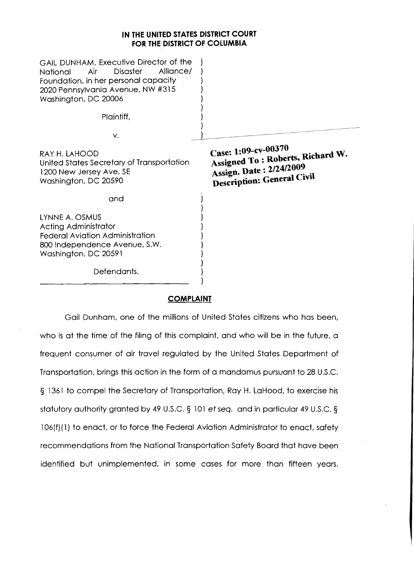# **IN THE UNITED STATES DISTRICT COURT FOR THE DISTRICT OF COLUMBIA**

| GAIL DUNHAM, Executive Director of the<br>Alliance/<br>Air<br>Disaster<br>National<br>Foundation, in her personal capacity<br>2020 Pennsylvania Avenue, NW #315<br>Washington, DC 20006 |                                                                                                                  |
|-----------------------------------------------------------------------------------------------------------------------------------------------------------------------------------------|------------------------------------------------------------------------------------------------------------------|
| Plaintiff,                                                                                                                                                                              |                                                                                                                  |
| ν.                                                                                                                                                                                      |                                                                                                                  |
| RAY H. LAHOOD<br>United States Secretary of Transportation<br>1200 New Jersey Ave, SE<br>Washington, DC 20590                                                                           | Case: 1:09-cv-00370<br>Assigned To: Roberts, Richard W.<br>Assign. Date: 2/24/2009<br>Description: General Civil |
| and                                                                                                                                                                                     |                                                                                                                  |
| LYNNE A. OSMUS<br>Acting Administrator<br><b>Federal Aviation Administration</b><br>800 Independence Avenue, S.W.<br>Washington, DC 20591                                               |                                                                                                                  |
| Defendants.                                                                                                                                                                             |                                                                                                                  |

# **COMPLAINT**

Gail Dunham. one of the millions of United States citizens who has been, who is at the time of the filing of this complaint, and who will be in the future, a frequent consumer of air travel regulated by the United States Department of Transportation. brings this action in the form of a mandamus pursuant to 28 U.S.C. § 1361 to compel the Secretary of Transportation, Ray H. LaHood, to exercise his statutory authority granted by 49 U.S.C. § 101 et *seq.* and in particular 49 U.S.C. § 106(f) (1) to enact, or to force the Federal Aviation Administrator to enact. safety recommendations from the National Transportation Safety Board that have been identified but unimplemented, in some cases for more than fifteen years.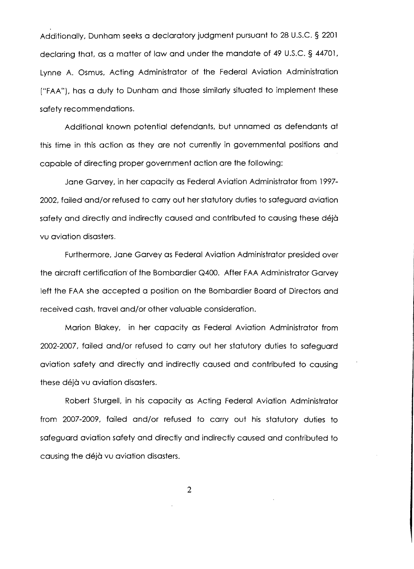Additionally, Dunham seeks a declaratory judgment pursuant to 28 U.S.c. § 2201 declaring that, as a matter of law and under the mandate of 49 U.S.C. § 44701, Lynne A. Osmus, Acting Administrator of the Federal Aviation Administration ("FAA"), has a duty to Dunham and those similarly situated to implement these safety recommendations.

Additional known potential defendants, but unnamed as defendants at this time in this action as they are not currently in governmental positions and capable of directing proper government action are the following:

Jane Garvey, in her capacity as Federal Aviation Administrator from 1997 2002, failed and/or refused to carry out her statutory duties to safeguard aviation safety and directly and indirectly caused and contributed to causing these déjà vu aviation disasters.

Furthermore, Jane Garvey as Federal Aviation Administrator presided over the aircraft certification' of the Bombardier Q400. After FAA Administrator Garvey left the FAA she accepted a position on the Bombardier Board of Directors and received cash, travel and/or other valuable consideration.

Marion Blakey, in her capacity as Federal Aviation Administrator from 2002-2007, failed and/or refused to carry out her statutory duties to safeguard aviation safety and directly and indirectly caused and contributed to causing these déjà vu aviation disasters.

Robert Sturgell, in his capacity as Acting Federal Aviation Administrator from 2007-2009, failed and/or refused to carry out his statutory duties to safeguard aviation safety and directly and indirectly caused and contributed to causing the déjà vu aviation disasters.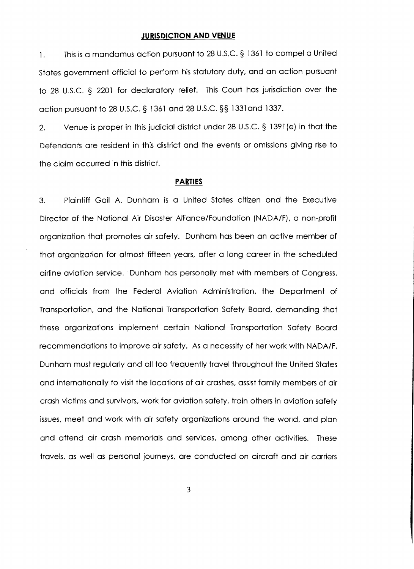# **JURISDICTION AND VENUE**

1. This is a mandamus action pursuant to 28 U.S.C. § 1361 to compel a United states government official to perform his statutory duty, and an action pursuant to 28 U.S.C. § 2201 for declaratory relief. This Court has jurisdiction over the action pursuant to 28 U.S.C. § 1361 and 28 U.S.C. §§ 1331 and 1337.

2. Venue is proper in this judicial district under 28 U.S.C. § 1391 (e) in that the Defendants are resident in this district and the events or omissions giving rise to the claim occurred in this district.

### **PARTIES**

3. Plaintiff Gail A. Dunham is a United States citizen and the Executive Director of the National Air Disaster Alliance/Foundation (NADA/F), a non-profit organization that promotes air safety. Dunham has been an active member of that organization for almost fifteen years, after a long career in the scheduled airline aviation service.. Dunham has personally met with members of Congress, and officials from the Federal Aviation Administration, the Department of Transportation, and the National Transportation Safety Board, demanding that these organizations implement certain National Transportation Safety Board recommendations to improve air safety. As a necessity of her work with NADA/F, Dunham must regularly and all too frequently travel throughout the United States and internationally to visit the locations of air crashes, assist family members of air crash victims and survivors, work for aviation safety, train others in aviation safety issues, meet and work with air safety organizations around the world, and plan and attend air crash memorials and services, among other activities. These travels, as well as personal journeys, are conducted on aircraft and air carriers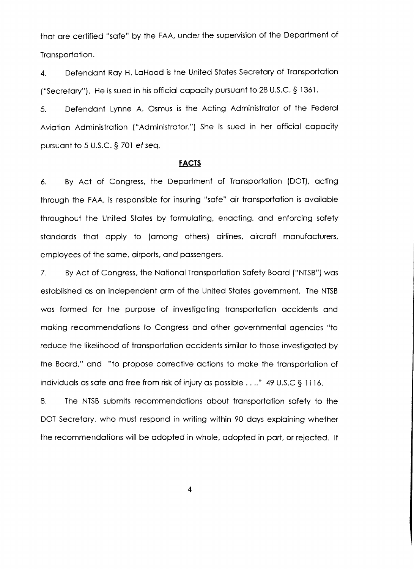that are certified "safe" by the FAA, under the supervision of the Department of Transportation.

4. Defendant Ray H. LaHood is the United states Secretary of Transportation ("Secretary"). He is sued in his official capacity pursuant to 28 U.S.c. § 136l.

5. Defendant Lynne A. Osmus is the Acting Administrator of the Federal Aviation Administration ("Administrator.") She is sued in her official capacity pursuant to 5 U.S.C. § 701 et seq.

### **FACTS**

6. By Act of Congress, the Department of Transportation (DOT), acting through the FAA is responsible for insuring "safe" air transportation is available throughout the United States by formulating, enacting, and enforcing safety standards that apply to (among others) airlines, aircraft manufacturers, employees of the same, airports, and passengers.

7. By Act of Congress, the National Transportation Safety Board ["NTSB") was established as an independent arm of the United States government. The NTSB was formed for the purpose of investigating transportation accidents and making recommendations to Congress and other governmental agencies "to reduce the likelihood of transportation accidents similar to those investigated by the Board," and "to propose corrective actions to make the transportation of individuals as safe and free from risk of injury as possible ...." 49 U.S.C § 1116.

8. The NTSB submits recommendations about transportation safety to the DOT Secretary, who must respond in writing within 90 days explaining whether the recommendations will be adopted in whole, adopted in part, or rejected. If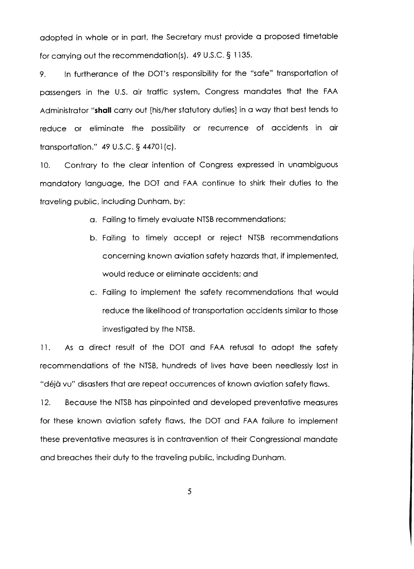adopted in whole or in part. the Secretary must provide a proposed timetable for carrying out the recommendation(s). 49 U.S.C. § 1135.

9. In furtherance of the DOT's responsibility for the "safe" transportation of passengers in the U.S. air traffic system, Congress mandates that the FAA Administrator **"shall** carry out [his/her statutory duties] in a way that best tends to reduce or eliminate the possibility or recurrence of accidents in air transportation." 49 U.S.C. § 44701 (c).

10. Contrary to the clear intention of Congress expressed in unambiguous mandatory language, the DOT and FAA continue to shirk their duties to the traveling pUblic, including Dunham, by:

- a. Failing to timely evaluate NTSB recommendations;
- b. Failing to timely accept or reject NTSB recommendations concerning known aviation safety hazards that. if implemented, would 'reduce or eliminate accidents; and
- c. Failing to implement the safety recommendations that would reduce the likelihood of transportation accidents similar to those investigated by the NTSB.

11. As a direct result of the DOT and FAA refusal to adopt the safety recommendations of the NTSB, hundreds of lives have been needlessly lost in "déjà vu" disasters that are repeat occurrences of known aviation safety flaws.

12. Because the NTSB has pinpointed and developed preventative measures for these known aviation safety flaws, the DOT and FAA failure to implement these preventative measures is in contravention of their Congressional mandate and breaches their duty to the traveling public, including Dunham.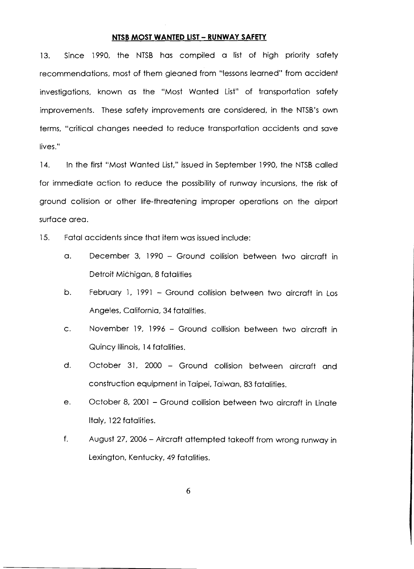#### **NTSB MOST WANTED LIST - RUNWAY SAFETY**

13. Since 1990, the NTSB has compiled a list of high priority safety recommendations, most of them gleaned from "lessons learned" from accident investigations, known as the "Most Wanted List" of transportation safety improvements. These safety improvements are considered, in the NTSB's own terms, "critical changes needed to reduce transportation accidents and save lives."

14. In the first "Most Wanted List," issued in September 1990, the NTSB called for immediate action to reduce the possibility of runway incursions, the risk of ground collision or other life-threatening improper operations on the airport surface area.

15. Fatal accidents since that item was issued include:

- a. December 3, 1990 Ground collision between two aircraft in Detroit Michigan, 8 fatalities
- b. February 1, 1991 Ground collision between two aircraft in Los Angeles, California, 34 fatalities.
- c. November 19, 1996 Ground collision between two aircraft in Quincy Illinois, 14 fatalities.
- d. October 31, 2000 Ground collision between aircraft and construction equipment in Taipei, Taiwan, 83 fatalities.
- e. Coctober 8, 2001 Ground collision between two aircraft in Linate Italy, 122 fatalities.
- f. August 27, 2006 Aircraft attempted takeoff from wrong runway in Lexington, Kentucky, 49 fatalities.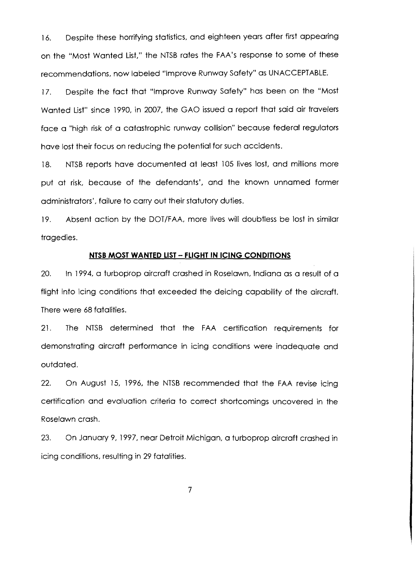16. Despite these horrifying statistics, and eighteen years after first appearing on the "Most Wanted List," the NTSB rates the FAA's response to some of these recommendations, now labeled "Improve Runway Safety" as UNACCEPTABLE.

17. Despite the fact that "Improve Runway Safety" has been on the "Most Wanted List" since 1990, in 2007, the GAO issued a report that said air travelers face a "high risk of a catastrophic runway collision" because federal regulators have lost their focus on reducing the potential for such accidents.

18. NTSB reports have documented at least 105 lives lost, and millions more put at risk, because of the defendants', and the known unnamed former administrators', failure to carry out their statutory duties.

19. Absent action by the DOT/FAA. more lives will doubtless be lost in similar tragedies.

# **NTSB MOST WANTED LIST - FLIGHT IN ICING CONDITIONS**

20. In 1994, a turboprop aircraft crashed in Roselawn, Indiana as a result of a flight into icing conditions that exceeded the deicing capability of the aircraft. There were 68 fatalities.

21. The NTSB determined that the FAA certification requirements for demonstrating aircraft performance in icing conditions were inadequate and outdated.

22. On August 15, 1996, the NTSB recommended that the FAA revise icing certification and evaluation criteria to correct shortcomings uncovered in the Roselawn crash.

23. On January 9, 1997, near Detroit Michigan, a turboprop aircraft crashed in icing conditions, resulting in 29 fatalities.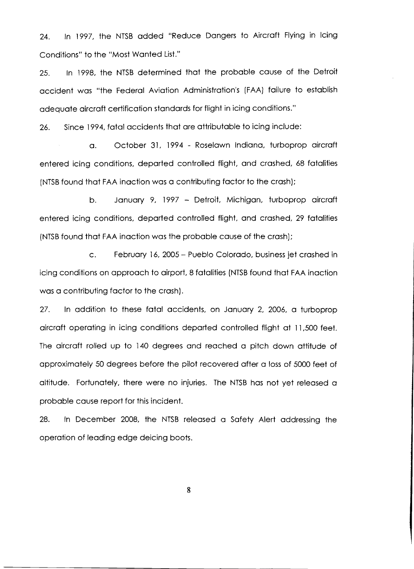24. In 1997, the NTSB added "Reduce Dangers to Aircraft Flying in Icing Conditions" to the "Most Wanted List."

25. In 1998, the NTSB determined that the probable cause of the Detroit accident was "the Federal Aviation Administration's (FAA) failure to establish adequate aircraft certification standards for flight in icing conditions."

26. Since 1994, fatal accidents that are attributable to icing include:

a. October 31, 1994 - Roselawn Indiana, turboprop aircraft entered icing conditions, departed controlled flight, and crashed, 68 fatalities [NTSB found that FAA inaction was a contributing factor to the crash);

b. January 9, 1997 - Detroit, Michigan, turboprop aircraft entered icing conditions, departed controlled flight, and crashed, 29 fatalities (NTSB found that FAA inaction was the probable cause of the crash);

c. February 16, 2005 - Pueblo Colorado, business jet crashed in icing conditions on approach to airport, 8 fatalities (NTSB found that FAA inaction was a contributing factor to the crash).

27. In addition to these fatal accidents, on January 2, 2006, a turboprop aircraft operating in icing conditions departed controlled flight at 11,500 feet. The aircraft rolled up to 140 degrees and reached a pitch down attitude of approximately 50 degrees before the pilot recovered after a loss of 5000 feet of altitude. Fortunately, there were no injuries. The NTSB has not yet released a probable cause report for this incident.

28. Ih December 2008, the NTSB released a Safety Alert addressing the operation of leading edge deicing boots.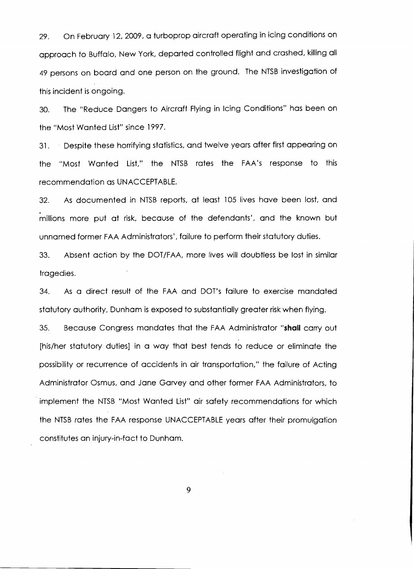29. On February 12, 2009, a turboprop aircraft operating in icing conditions on approach to Buffalo, New York, departed controlled flight and crashed, killing all 49 persons on board and one person on the ground. The NTSB investigation of this incident is ongoing.

30. The "Reduce Dangers to Aircraft Flying in Icing Conditions" has been on the "Most Wanted List" since 1997.

31 . Despite these horrifying statistics, and twelve years after first appearing on the "Most Wanted List," the NTSB rates the FAA's response to this recommendation as UNACCEPTABLE.

32. As documented in NTSB reports, at least 105 lives have been lost, and millions more put at risk, because of the defendants', and the known but unnamed former FAA Administrators', failure to perform their statutory duties.

33. Absent action by the DOT/FAA, more lives will doubtless be lost in similar tragedies.

34. As a direct result of the FAA and DOT's failure to exercise mandated statutory authority, Dunham is exposed to substantially greater risk when flying.

35. Because Congress mandates that the FAA Administrator **"shall** carry out [his/her statutory duties] in a way that best tends to reduce or eliminate the possibility or recurrence of accidents in air transportation," the failure of Acting Administrator Osmus, and Jane Garvey and other former FAA Administrators, to . implement the NTSB "Most Wanted List" air safety recommendations for which the NTSB rates the FAA response UNACCEPTABLE years after their promulgation constitutes an injury-in-fact to Dunham.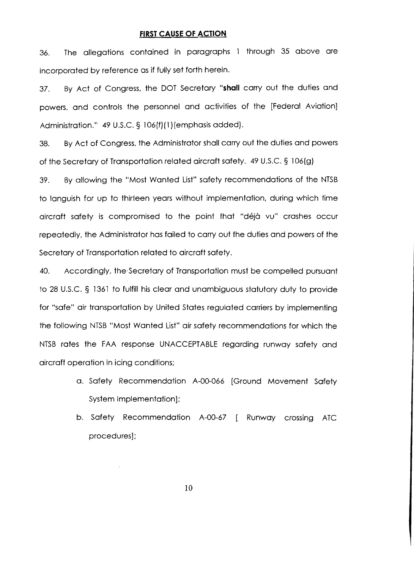#### **FIRST CAUSE OF ACTION**

36. The allegations contained in paragraphs 1 through 35 above are incorporated by reference as if fully set forth herein.

37. By Act of Congress, the DOT Secretary **"shall** carry out the duties and powers, and controls the personnel and activities of the [Federal Aviation] Administration." 49 U.S.C. § 106(f)(1)(emphasis added).

38. By Act of Congress, the Administrator shall carry out the duties and powers of the Secretary of Transportation related aircraft safety. 49 U.S.C. § 106(g)

39. By allowing the "Most Wanted List" safety recommendations of the NTSB to languish for up to thirteen years without implementation, during which time aircraft safety is compromised to the point that "déjà vu" crashes occur repeatedly, the Administrator has failed to carry out the duties and powers of the Secretary of Transportation related to aircraft safety.

40. Accordingly, the Secretary of Transportation must be compelled pursuant to 28 U.s.C. § 1361 to fulfill his clear and unambiguous statutory duty to provide for "safe" air transportation by United States regulated carriers by implementing the following NTSB "Most Wanted List" air safety recommendations for which the NTSB rates the FAA response UNACCEPTABLE regarding runway safety and aircraft operation in icing conditions;

- a. Safety Recommendation A-00-066 [Ground Movement Safety System Implementation];
- b. Safety Recommendation A-00-67 [ Runway crossing ATC procedures];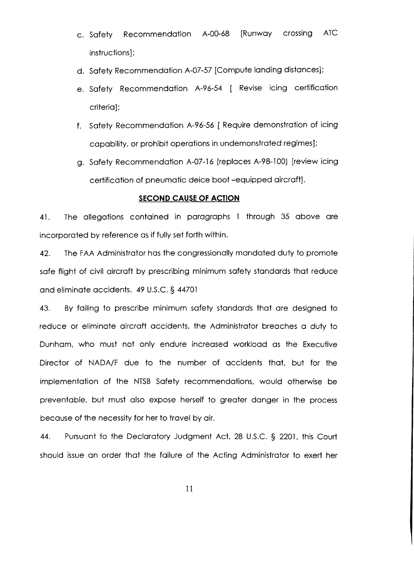- c. Safety Recommendation A-00-68 [Runway crossing ATC instructions];
- d. Safety Recommendation A-07-57 [Compute landing distances];
- e. Safety Recommendation A-96-54 | Revise icing certification criteria];
- f. Safety Recommendation A-96-56 [ Require demonstration of icing capability, or prohibit operations in undemonstrated regimes];
- g. Safety Recommendation A-07-16 (replaces A-98-100) [review icing certification of pneumatic deice boot -equipped aircraft].

# **SECOND CAUSE OF ACTION**

41. The allegations contained in paragraphs 1 through 35 above are incorporated by reference as if fully set forth within.

42. The FAA Administrator has the congressionally mandated duty to promote safe flight of civil aircraft by prescribing minimum safety standards that reduce and eliminate accidents. 49 U.S.C. § 44701

43. By failing to prescribe minimum safety standards that are designed to reduce or eliminate aircraft accidents, the Administrator breaches a duty to Dunham, who must not only endure increased workload as the Executive Director of NADA/F due to the number of accidents that, but for the implementation of the NTSB Safety recommendations, would otherwise be preventable, but must also expose herself to greater danger in the process because of the necessity for her to travel by air.

44. Pursuant to the Declaratory Judgment Act, 28 U.S.c. § 2201, this Court should issue an order that the failure of the Acting Administrator to exert her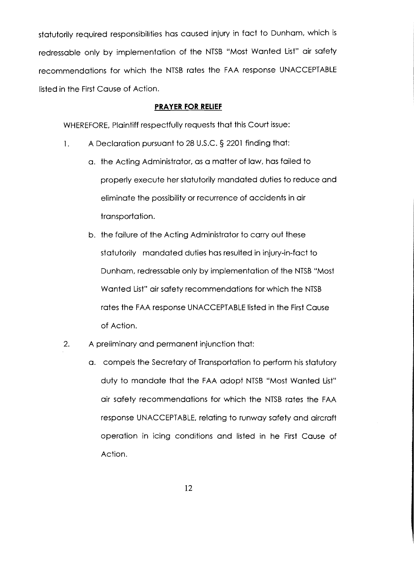statutorily required responsibilities has caused injury in fact to Dunham, which is redressable only by implementation of the NTSB "Most Wanted List" air safety recommendations for which the NTSB rates the FAA response UNACCEPTABLE listed in the First Cause of Action.

### **PRAYER FOR RELIEF**

WHEREFORE, Plaintiff respectfully requests that this Court issue:

- 1. A Declaration pursuant to 28 U.S.C. § 2201 finding that:
	- a. the Acting Administrator, as a matter of law, has failed to properly execute her statutorily mandated duties to reduce and eliminate the possibility or recurrence of accidents in air transportation.
	- b. the failure of the Acting Administrator to carry out these statutorily mandated duties has resulted in injury-in-fact to Dunham, redressable only by implementation of the NTSB "Most Wanted List" air safety recommendations for which the NTSB rates the FAA response UNACCEPTABLE listed in the First Cause of Action.
- 2. A preliminary and permanent injunction that:
	- a. compels the Secretary of Transportation to perform his statutory duty to mandate that the FAA adopt NTSB "Most Wanted List" air safety recommendations for which the NTSB rates the FAA response UNACCEPTABLE, relating to runway safety and aircraft operation in icing conditions and listed in he First Cause of Action.